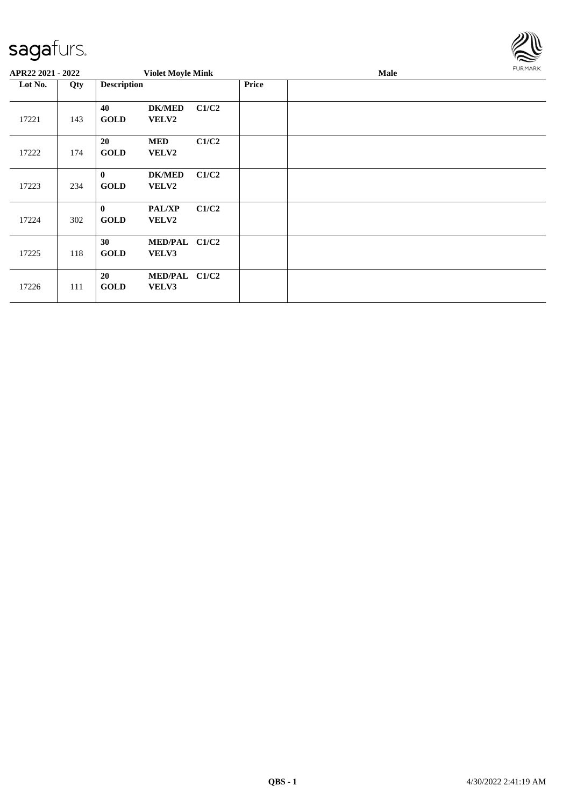

| APR22 2021 - 2022 |     |                         | <b>Violet Moyle Mink</b>   |       |              | <b>Male</b> | <b>FURMARK</b> |
|-------------------|-----|-------------------------|----------------------------|-------|--------------|-------------|----------------|
| Lot No.           | Qty | <b>Description</b>      |                            |       | <b>Price</b> |             |                |
| 17221             | 143 | 40<br><b>GOLD</b>       | <b>DK/MED</b><br>VELV2     | C1/C2 |              |             |                |
| 17222             | 174 | 20<br><b>GOLD</b>       | <b>MED</b><br><b>VELV2</b> | C1/C2 |              |             |                |
| 17223             | 234 | $\bf{0}$<br><b>GOLD</b> | <b>DK/MED</b><br>VELV2     | C1/C2 |              |             |                |
| 17224             | 302 | $\bf{0}$<br><b>GOLD</b> | <b>PAL/XP</b><br>VELV2     | C1/C2 |              |             |                |
| 17225             | 118 | 30<br><b>GOLD</b>       | MED/PAL C1/C2<br>VELV3     |       |              |             |                |
| 17226             | 111 | 20<br><b>GOLD</b>       | MED/PAL C1/C2<br>VELV3     |       |              |             |                |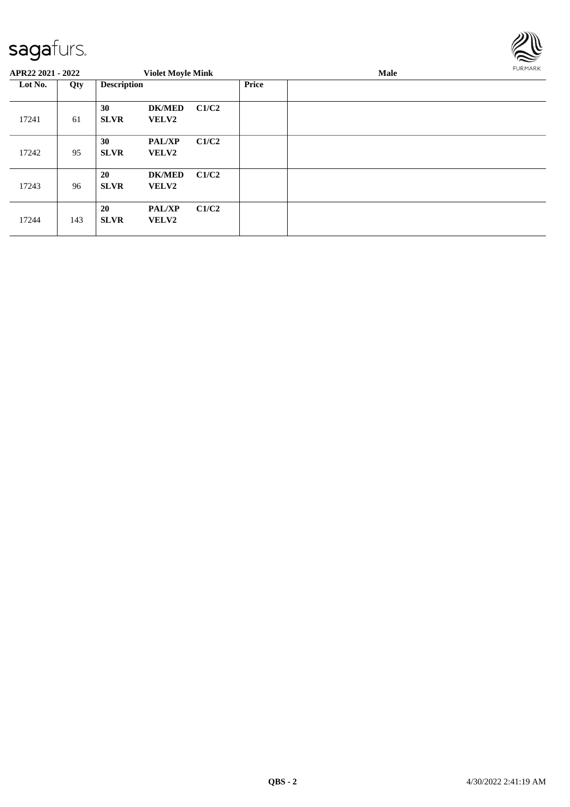

| APR22 2021 - 2022 |     |                          | <b>Violet Moyle Mink</b>      |       |       | Male |  |  |  |
|-------------------|-----|--------------------------|-------------------------------|-------|-------|------|--|--|--|
| Lot No.           | Qty | <b>Description</b>       |                               |       | Price |      |  |  |  |
| 17241             | 61  | 30<br><b>SLVR</b>        | <b>DK/MED</b><br>VELV2        | C1/C2 |       |      |  |  |  |
| 17242             | 95  | 30<br><b>SLVR</b>        | <b>PAL/XP</b><br><b>VELV2</b> | C1/C2 |       |      |  |  |  |
| 17243             | 96  | 20<br><b>SLVR</b>        | <b>DK/MED</b><br><b>VELV2</b> | C1/C2 |       |      |  |  |  |
| 17244             | 143 | <b>20</b><br><b>SLVR</b> | <b>PAL/XP</b><br>VELV2        | C1/C2 |       |      |  |  |  |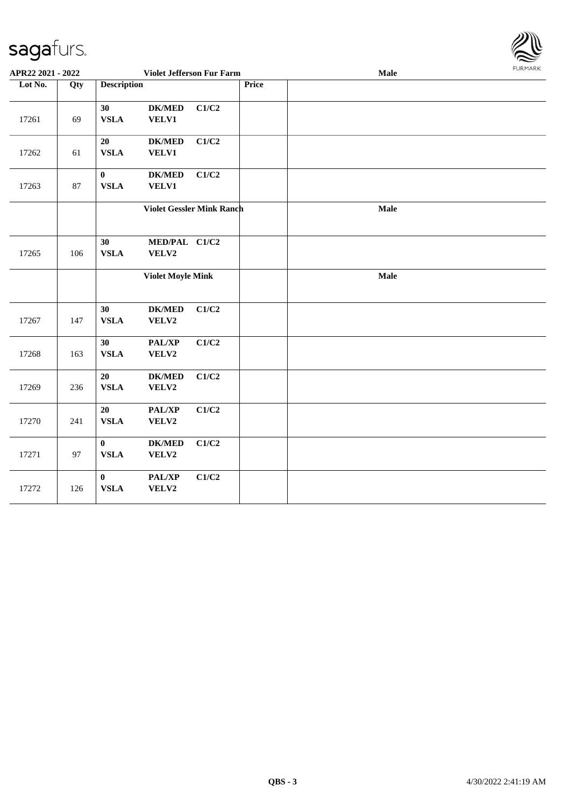

| APR22 2021 - 2022 |     |                         | Violet Jefferson Fur Farm        |       |       | Male | <b>FURMARK</b> |
|-------------------|-----|-------------------------|----------------------------------|-------|-------|------|----------------|
| Lot No.           | Qty | <b>Description</b>      |                                  |       | Price |      |                |
| 17261             | 69  | 30<br><b>VSLA</b>       | ${\bf DK/MED}$<br>VELV1          | C1/C2 |       |      |                |
| 17262             | 61  | 20<br><b>VSLA</b>       | $DK/MED$<br><b>VELV1</b>         | C1/C2 |       |      |                |
| 17263             | 87  | $\bf{0}$<br><b>VSLA</b> | <b>DK/MED</b><br>VELV1           | C1/C2 |       |      |                |
|                   |     |                         | <b>Violet Gessler Mink Ranch</b> |       |       | Male |                |
| 17265             | 106 | 30<br><b>VSLA</b>       | MED/PAL C1/C2<br>VELV2           |       |       |      |                |
|                   |     |                         | <b>Violet Moyle Mink</b>         |       |       | Male |                |
| 17267             | 147 | 30<br><b>VSLA</b>       | <b>DK/MED</b><br>VELV2           | C1/C2 |       |      |                |
| 17268             | 163 | 30<br><b>VSLA</b>       | PAL/XP<br>VELV2                  | C1/C2 |       |      |                |
| 17269             | 236 | 20<br><b>VSLA</b>       | <b>DK/MED</b><br>VELV2           | C1/C2 |       |      |                |
| 17270             | 241 | 20<br><b>VSLA</b>       | PAL/XP<br>VELV2                  | C1/C2 |       |      |                |
| 17271             | 97  | $\bf{0}$<br><b>VSLA</b> | <b>DK/MED</b><br>VELV2           | C1/C2 |       |      |                |
| 17272             | 126 | $\bf{0}$<br><b>VSLA</b> | PAL/XP<br>VELV2                  | C1/C2 |       |      |                |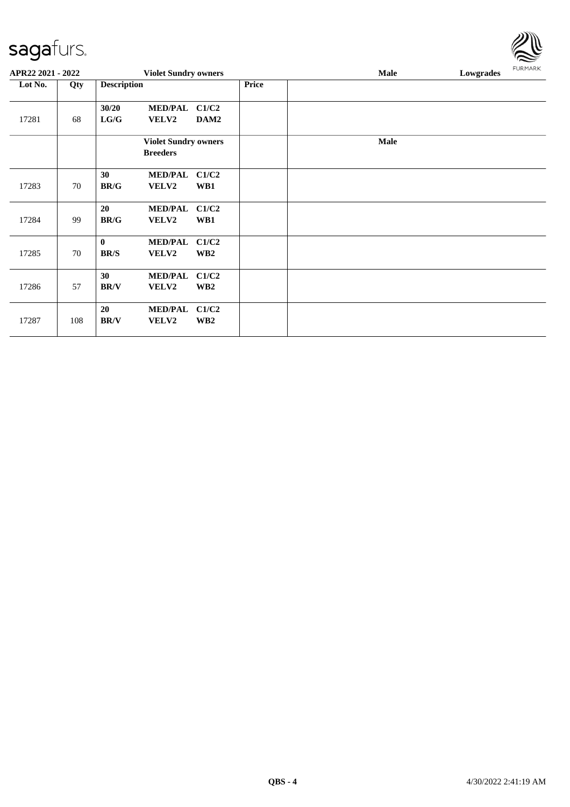| APR22 2021 - 2022 |     |                                      |                                | <b>Violet Sundry owners</b> |              | Lowgrades<br><b>Male</b> |  |  |
|-------------------|-----|--------------------------------------|--------------------------------|-----------------------------|--------------|--------------------------|--|--|
| Lot No.           | Qty | <b>Description</b>                   |                                |                             | <b>Price</b> |                          |  |  |
| 17281             | 68  | 30/20<br>${\bf L} {\bf G} / {\bf G}$ | <b>MED/PAL</b><br>VELV2        | C1/C2<br>DAM2               |              |                          |  |  |
|                   |     |                                      | <b>Breeders</b>                | <b>Violet Sundry owners</b> |              | <b>Male</b>              |  |  |
| 17283             | 70  | 30<br>BR/G                           | <b>MED/PAL</b><br><b>VELV2</b> | C1/C2<br>WB1                |              |                          |  |  |
| 17284             | 99  | 20<br><b>BR/G</b>                    | <b>MED/PAL</b><br><b>VELV2</b> | C1/C2<br>WB1                |              |                          |  |  |
| 17285             | 70  | $\bf{0}$<br><b>BR/S</b>              | <b>MED/PAL</b><br>VELV2        | C1/C2<br>WB <sub>2</sub>    |              |                          |  |  |
| 17286             | 57  | 30<br><b>BR/V</b>                    | <b>MED/PAL</b><br>VELV2        | C1/C2<br>WB <sub>2</sub>    |              |                          |  |  |
| 17287             | 108 | 20<br><b>BR/V</b>                    | <b>MED/PAL</b><br>VELV2        | C1/C2<br>WB <sub>2</sub>    |              |                          |  |  |

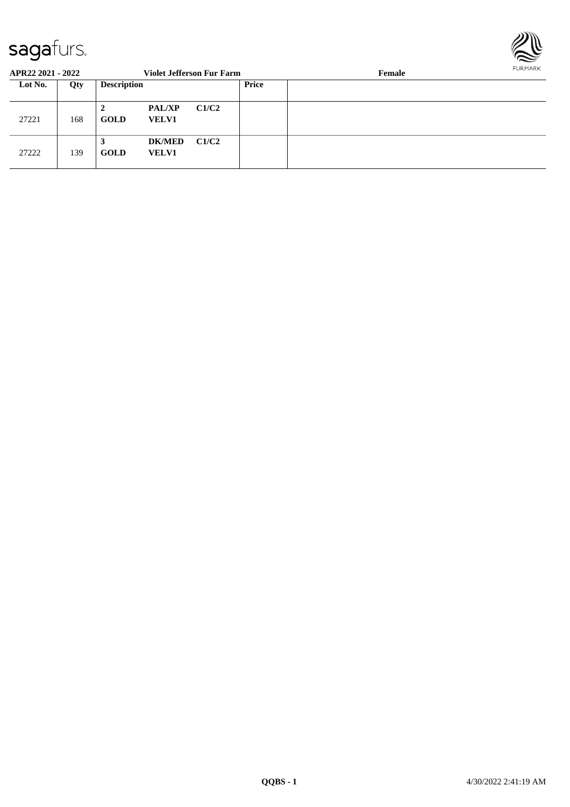

| APR22 2021 - 2022 |     |                    |                               | <b>Violet Jefferson Fur Farm</b> |       | FURMARR<br>Female |  |  |
|-------------------|-----|--------------------|-------------------------------|----------------------------------|-------|-------------------|--|--|
| Lot No.           | Qty | <b>Description</b> |                               |                                  | Price |                   |  |  |
| 27221             | 168 | 2<br><b>GOLD</b>   | <b>PAL/XP</b><br><b>VELV1</b> | C1/C2                            |       |                   |  |  |
| 27222             | 139 | 3<br>GOLD          | <b>DK/MED</b><br><b>VELV1</b> | C1/C2                            |       |                   |  |  |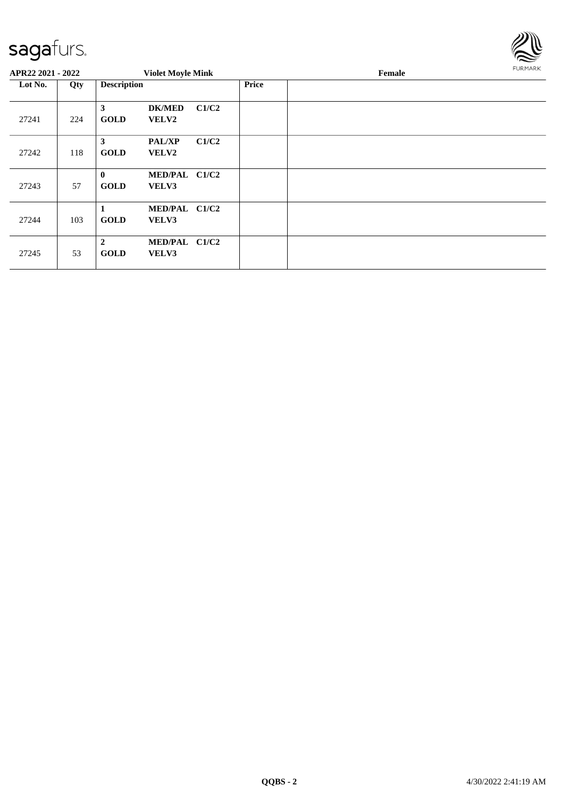

| APR22 2021 - 2022 |     |                               | <b>Violet Moyle Mink</b>      |       |              | <b>FURMARK</b> |  |
|-------------------|-----|-------------------------------|-------------------------------|-------|--------------|----------------|--|
| Lot No.           | Qty | <b>Description</b>            |                               |       | <b>Price</b> |                |  |
| 27241             | 224 | 3<br><b>GOLD</b>              | <b>DK/MED</b><br><b>VELV2</b> | C1/C2 |              |                |  |
| 27242             | 118 | 3<br><b>GOLD</b>              | <b>PAL/XP</b><br><b>VELV2</b> | C1/C2 |              |                |  |
| 27243             | 57  | $\mathbf{0}$<br><b>GOLD</b>   | MED/PAL C1/C2<br>VELV3        |       |              |                |  |
| 27244             | 103 | 1<br><b>GOLD</b>              | MED/PAL C1/C2<br>VELV3        |       |              |                |  |
| 27245             | 53  | $\overline{2}$<br><b>GOLD</b> | MED/PAL C1/C2<br>VELV3        |       |              |                |  |